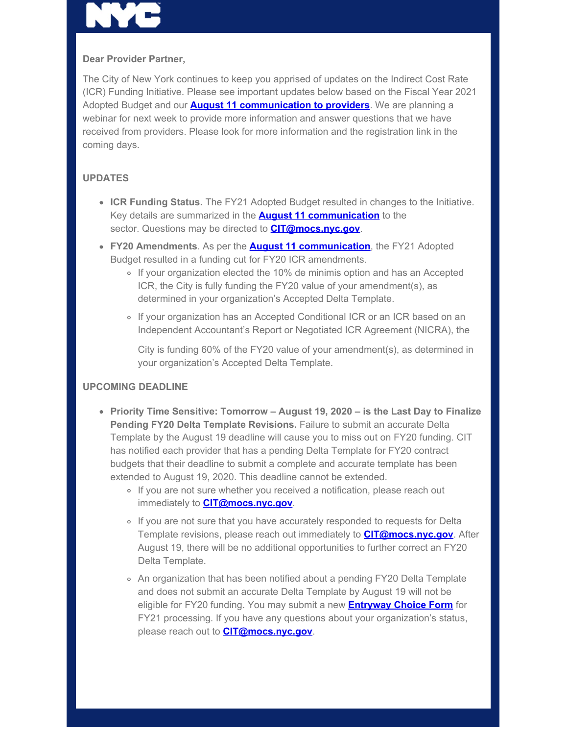## **Dear Provider Partner,**

The City of New York continues to keep you apprised of updates on the Indirect Cost Rate (ICR) Funding Initiative. Please see important updates below based on the Fiscal Year 2021 Adopted Budget and our **[August 11 communication to providers](https://gcc01.safelinks.protection.outlook.com/?url=https%3A%2F%2Fwww1.nyc.gov%2Fassets%2Fnonprofits%2Fdownloads%2Fpdf%2FAug11_Indirect_Rate_Initative_Update.pdf%3Futm_medium%3Demail%26utm_source%3Dgovdelivery&data=02%7C01%7Coluwa.small%40mocs.nyc.gov%7Cb2b1b7927d89455cb99008d843958bbe%7C32f56fc75f814e22a95b15da66513bef%7C0%7C0%7C637333657629281751&sdata=3uJIIHBjrB1TepGCgyJ%2FysX526kC4tM9aWfZfD%2FFucc%3D&reserved=0)**. We are planning a webinar for next week to provide more information and answer questions that we have received from providers. Please look for more information and the registration link in the coming days.

# **UPDATES**

- **ICR Funding Status.** The FY21 Adopted Budget resulted in changes to the Initiative. Key details are summarized in the **[August 11 communication](https://gcc01.safelinks.protection.outlook.com/?url=https%3A%2F%2Fwww1.nyc.gov%2Fassets%2Fnonprofits%2Fdownloads%2Fpdf%2FAug11_Indirect_Rate_Initative_Update.pdf%3Futm_medium%3Demail%26utm_source%3Dgovdelivery&data=02%7C01%7Coluwa.small%40mocs.nyc.gov%7Cb2b1b7927d89455cb99008d843958bbe%7C32f56fc75f814e22a95b15da66513bef%7C0%7C0%7C637333657629291704&sdata=UjbZqnQTtYMsWuooBbv7IEEva52UuZcHDP%2FmfEt0AHc%3D&reserved=0)** to the sector. Questions may be directed to **[CIT@mocs.nyc.gov](mailto:CIT@mocs.nyc.gov)**.
- **FY20 Amendments**. As per the **[August 11 communication](https://gcc01.safelinks.protection.outlook.com/?url=https%3A%2F%2Fwww1.nyc.gov%2Fassets%2Fnonprofits%2Fdownloads%2Fpdf%2FAug11_Indirect_Rate_Initative_Update.pdf%3Futm_medium%3Demail%26utm_source%3Dgovdelivery&data=02%7C01%7Coluwa.small%40mocs.nyc.gov%7Cb2b1b7927d89455cb99008d843958bbe%7C32f56fc75f814e22a95b15da66513bef%7C0%7C0%7C637333657629291704&sdata=UjbZqnQTtYMsWuooBbv7IEEva52UuZcHDP%2FmfEt0AHc%3D&reserved=0)**, the FY21 Adopted Budget resulted in a funding cut for FY20 ICR amendments.
	- If your organization elected the 10% de minimis option and has an Accepted ICR, the City is fully funding the FY20 value of your amendment(s), as determined in your organization's Accepted Delta Template.
	- o If your organization has an Accepted Conditional ICR or an ICR based on an Independent Accountant's Report or Negotiated ICR Agreement (NICRA), the

City is funding 60% of the FY20 value of your amendment(s), as determined in your organization's Accepted Delta Template.

### **UPCOMING DEADLINE**

- **Priority Time Sensitive: Tomorrow August 19, 2020 is the Last Day to Finalize Pending FY20 Delta Template Revisions.** Failure to submit an accurate Delta Template by the August 19 deadline will cause you to miss out on FY20 funding. CIT has notified each provider that has a pending Delta Template for FY20 contract budgets that their deadline to submit a complete and accurate template has been extended to August 19, 2020. This deadline cannot be extended.
	- o If you are not sure whether you received a notification, please reach out immediately to **CIT@mocs.nyc.gov**.
	- o If you are not sure that you have accurately responded to requests for Delta Template revisions, please reach out immediately to **CIT@mocs.nyc.gov**. After August 19, there will be no additional opportunities to further correct an FY20 Delta Template.
	- An organization that has been notified about a pending FY20 Delta Template and does not submit an accurate Delta Template by August 19 will not be eligible for FY20 funding. You may submit a new **Entryway Choice Form** for FY21 processing. If you have any questions about your organization's status, please reach out to **CIT@mocs.nyc.gov**.